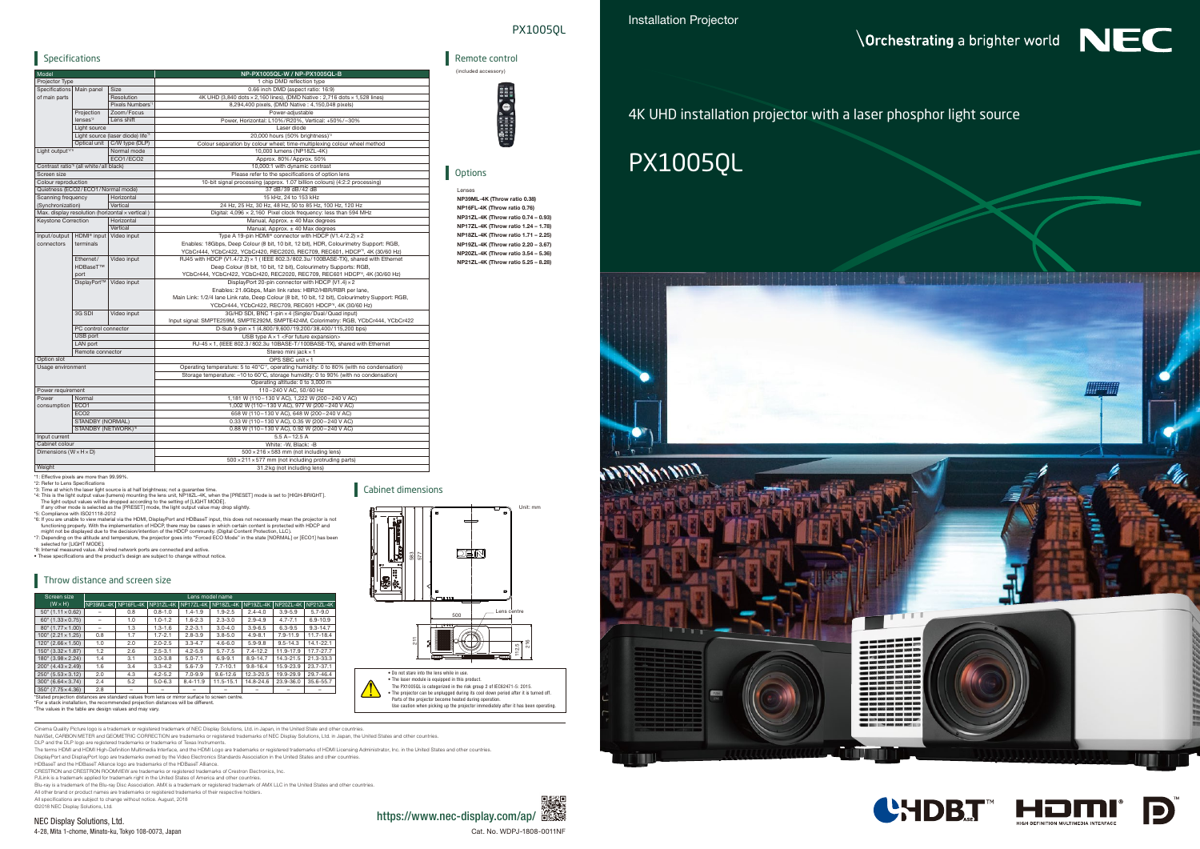• Do not stare into the lens while in use. • The laser module is equipped in this product.

<u>بر</u>

The PX1005QL is categorized in the risk group 2 of IEC62471-5: 2015. • The projector can be unplugged during its cool down period after it is turned off. Parts of the projector become heated during operation. Use caution when picking up the projector immediately after it has been operating.

# 4K UHD installation projector with a laser phosphor light source











DLP and the DLP logo are registered trademarks or trademarks of Texas Instruments.

NEC Display Solutions, Ltd. 4-28, Mita 1-chome, Minato-ku, Tokyo 108-0073, Japan Cat. No. WDPJ-1808-0011NF

The terms HDMI and HDMI High-Definition Multimedia Interface, and the HDMI Logo are trademarks or registered trademarks of HDMI Licensing Administrator, Inc. in the United States and other countries.

DisplayPort and DisplayPort logo are trademarks owned by the Video Electronics Standards Association in the United States and other countries.<br>HDBaseT and the HDBaseT Alliance logo are trademarks of the HDBaseT Alliance.

112.5 م<br>21

CRESTRON and CRESTRON ROOMVIEW are trademarks or registered trademarks of Crestron Electronics, Inc. PJLink is a trademark applied for trademark right in the United States of America and other countries.

Blu-ray is a trademark of the Blu-ray Disc Association. AMX is a trademark or registered trademark of AMX LLC in the United States and other countries.<br>All other brand or product names are trademarks or registered trademar

All specifications are subject to change without notice. August, 2018

©2018 NEC Display Solutions, Ltd.



500

DEN



583 577

Щ

 $\overline{\mathbb{R}}$ 

Lens centre



## PX1005QL

Unit: mm

\*For a stack installation, the recommended projection distances will be different. \*The values in the table are design values and may vary.

Cinema Quality Picture logo is a trademark or registered trademark of NEC Display Solutions, Ltd. in Japan, in the United State and other countries.<br>NaViSet, CARBON METER and GEOMETRIC CORRECTION are trademarks or register

Lenses NP39ML-4K (Throw ratio 0.38) NP16FL-4K (Throw ratio 0.76) NP31ZL-4K (Throw ratio 0.74 – 0.93) NP17ZL-4K (Throw ratio 1.24 – 1.78) NP18ZL-4K (Throw ratio 1.71 – 2.25) NP19ZL-4K (Throw ratio 2.20 – 3.67) NP20ZL-4K (Throw ratio 3.54 – 5.36) NP21ZL-4K (Throw ratio 5.25 – 8.28)



| Screen size                                                                                    | Lens model name     |     |             |              |              |              |              |              |  |
|------------------------------------------------------------------------------------------------|---------------------|-----|-------------|--------------|--------------|--------------|--------------|--------------|--|
| $(W \times H)$                                                                                 | NP39ML-4K NP16FL-4K |     | NP31ZL-4K   | NP17ZL-4K    | NP18ZL-4K    | NP19ZL-4K    | NP20ZL-4K    | NP21ZL-4K    |  |
| $50''(1.11 \times 0.62)$                                                                       |                     | 0.8 | $0.8 - 1.0$ | $1.4 - 1.9$  | $1.9 - 2.5$  | $2.4 - 4.0$  | $3.9 - 5.9$  | $5.7 - 9.0$  |  |
| $60''(1.33 \times 0.75)$                                                                       | -                   | 1.0 | $1.0 - 1.2$ | $1.6 - 2.3$  | $2.3 - 3.0$  | $2.9 - 4.9$  | $4.7 - 7.1$  | $6.9 - 10.9$ |  |
| $80''(1.77 \times 1.00)$                                                                       | -                   | 1.3 | $1.3 - 1.6$ | $2.2 - 3.1$  | $3.0 - 4.0$  | $3.9 - 6.5$  | $6.3 - 9.5$  | $9.3 - 14.7$ |  |
| $100''$ (2.21 $\times$ 1.25)                                                                   | 0.8                 | 1.7 | $1.7 - 2.1$ | $2.8 - 3.9$  | $3.8 - 5.0$  | $4.9 - 8.1$  | $7.9 - 11.9$ | 11.7-18.4    |  |
| $120$ " $(2.66 \times 1.50)$                                                                   | 1.0                 | 2.0 | $2.0 - 2.5$ | $3.3 - 4.7$  | $4.6 - 6.0$  | $5.9 - 9.8$  | $9.5 - 14.3$ | 14.1-22.1    |  |
| $150$ " $(3.32 \times 1.87)$                                                                   | 1.2                 | 2.6 | $2.5 - 3.1$ | $4.2 - 5.9$  | $5.7 - 7.5$  | $7.4 - 12.2$ | 11.9-17.9    | 17.7-27.7    |  |
| 180" (3.98 × 2.24)                                                                             | 1.4                 | 3.1 | $3.0 - 3.8$ | $5.0 - 7.1$  | $6.9 - 9.1$  | $8.9 - 14.7$ | 14.3-21.5    | 21.3-33.3    |  |
| $200''$ (4.43 $\times$ 2.49)                                                                   | 1.6                 | 3.4 | $3.3 - 4.2$ | $5.6 - 7.9$  | $7.7 - 10.1$ | $9.8 - 16.4$ | 15.9-23.9    | 23.7-37.1    |  |
| $250$ " (5.53 $\times$ 3.12)                                                                   | 2.0                 | 4.3 | $4.2 - 5.2$ | $7.0 - 9.9$  | $9.6 - 12.6$ | 12.3-20.5    | 19.9-29.9    | 29.7-46.4    |  |
| $300''$ (6.64 $\times$ 3.74)                                                                   | 2.4                 | 5.2 | $5.0 - 6.3$ | $8.4 - 11.9$ | 11.5-15.1    | 14.8-24.6    | 23.9-36.0    | 35.6-55.7    |  |
| $350''$ (7.75 $\times$ 4.36)                                                                   | 2.8                 | -   |             |              |              |              |              |              |  |
| *Stated projection distances are standard values from lens or mirror surface to screen centre. |                     |     |             |              |              |              |              |              |  |

# Specifications

| Model                              |                                                    |                                                 | NP-PX1005QL-W / NP-PX1005QL-B                                                                    | (included accessory)  |
|------------------------------------|----------------------------------------------------|-------------------------------------------------|--------------------------------------------------------------------------------------------------|-----------------------|
| Projector Type                     |                                                    |                                                 | 1 chip DMD reflection type                                                                       |                       |
| Specifications                     | Main panel<br>Size                                 |                                                 | 0.66 inch DMD (aspect ratio: 16:9)                                                               |                       |
| of main parts                      |                                                    | Resolution                                      | 4K UHD (3,840 dots × 2,160 lines), (DMD Native: 2,716 dots × 1,528 lines)                        |                       |
|                                    |                                                    | Pixels Numbers"                                 | 8,294,400 pixels, (DMD Native: 4,150,048 pixels)                                                 |                       |
|                                    | Projection                                         | Zoom/Focus                                      | Power-adjustable                                                                                 |                       |
|                                    | lenses <sup>"2</sup>                               | Lens shift                                      | Power, Horizontal: L10%/R20%, Vertical: +50%/-30%                                                | <b>Ciala along</b> at |
|                                    | Light source                                       |                                                 | Laser diode                                                                                      |                       |
|                                    |                                                    | Light source (laser diode) life'3               | 20,000 hours (50% brightness) <sup>3</sup>                                                       |                       |
|                                    | Optical unit<br>C/W type (DLP)                     |                                                 | Colour separation by colour wheel; time-multiplexing colour wheel method                         |                       |
| Light output <sup>'4'5</sup>       |                                                    | Normal mode                                     | 10,000 lumens (NP18ZL-4K)                                                                        |                       |
|                                    |                                                    | ECO1/ECO2                                       | Approx. 80%/Approx. 50%                                                                          |                       |
|                                    | Contrast ratio <sup>'5</sup> (all white/all black) |                                                 | 10,000:1 with dynamic contrast                                                                   |                       |
| Screen size                        |                                                    |                                                 | Please refer to the specifications of option lens                                                | Options               |
| Colour reproduction                |                                                    |                                                 | 10-bit signal processing (approx. 1.07 billion colours) (4:2:2 processing)                       |                       |
|                                    | Quietness (ECO2/ECO1/Normal mode)                  |                                                 | 37 dB/39 dB/42 dB                                                                                | Lenses                |
| Scanning frequency                 |                                                    | Horizontal                                      | 15 kHz, 24 to 153 kHz                                                                            | NP39ML-4K (Thro       |
| (Synchronization)                  |                                                    | Vertical                                        | 24 Hz, 25 Hz, 30 Hz, 48 Hz, 50 to 85 Hz, 100 Hz, 120 Hz                                          |                       |
|                                    |                                                    | Max. display resolution (horizontal x vertical) | Digital: 4,096 x 2,160 Pixel clock frequency: less than 594 MHz                                  | NP16FL-4K (Throv      |
| Keystone Correction                |                                                    | Horizontal                                      | Manual, Approx. ± 40 Max degrees                                                                 | NP31ZL-4K (Throv      |
|                                    |                                                    | Vertical                                        | Manual, Approx. ± 40 Max degrees                                                                 | NP17ZL-4K (Throv      |
| Input/output                       | HDMI <sup>®</sup> input                            | Video input                                     | Type A 19-pin HDMI® connector with HDCP (V1.4/2.2) × 2                                           | NP18ZL-4K (Throv      |
| connectors                         | terminals                                          |                                                 | Enables: 18Gbps, Deep Colour (8 bit, 10 bit, 12 bit), HDR, Colourimetry Support: RGB,            | NP19ZL-4K (Throv      |
|                                    |                                                    |                                                 | YCbCr444, YCbCr422, YCbCr420, REC2020, REC709, REC601, HDCP'6, 4K (30/60 Hz)                     |                       |
|                                    | Ethernet/                                          | Video input                                     | RJ45 with HDCP (V1.4/2.2) x 1 (IEEE 802.3/802.3u/100BASE-TX), shared with Ethernet               | NP20ZL-4K (Throv      |
|                                    | HDBaseT™                                           |                                                 | Deep Colour (8 bit, 10 bit, 12 bit), Colourimetry Supports: RGB,                                 | NP21ZL-4K (Throv      |
|                                    | port                                               |                                                 | YCbCr444, YCbCr422, YCbCr420, REC2020, REC709, REC601 HDCP <sup>®</sup> , 4K (30/60 Hz)          |                       |
|                                    | DisplayPort™                                       | Video input                                     | DisplayPort 20-pin connector with HDCP (V1.4) × 2                                                |                       |
|                                    |                                                    |                                                 | Enables: 21.6Gbps, Main link rates: HBR2/HBR/RBR per lane,                                       |                       |
|                                    |                                                    |                                                 | Main Link: 1/2/4 lane Link rate, Deep Colour (8 bit, 10 bit, 12 bit), Colourimetry Support: RGB, |                       |
|                                    |                                                    |                                                 | YCbCr444, YCbCr422, REC709, REC601 HDCP'6, 4K (30/60 Hz)                                         |                       |
|                                    | 3G SDI                                             | Video input                                     | 3G/HD SDI, BNC 1-pin x 4 (Single/Dual/Quad input)                                                |                       |
|                                    |                                                    |                                                 | Input signal: SMPTE259M, SMPTE292M, SMPTE424M, Colorimetry: RGB, YCbCr444, YCbCr422              |                       |
|                                    | PC control connector                               |                                                 | D-Sub 9-pin × 1 (4,800/9,600/19,200/38,400/115,200 bps)                                          |                       |
|                                    | USB port                                           |                                                 | USB type $A \times 1$ < For future expansion>                                                    |                       |
|                                    | LAN port                                           |                                                 | RJ-45 x 1, (IEEE 802.3/802.3u 10BASE-T/100BASE-TX), shared with Ethernet                         |                       |
|                                    | Remote connector                                   |                                                 | Stereo mini jack x 1                                                                             |                       |
| Option slot                        |                                                    |                                                 | OPS SBC unit x 1                                                                                 |                       |
| Usage environment                  |                                                    |                                                 | Operating temperature: 5 to 40°C'7, operating humidity: 0 to 80% (with no condensation)          |                       |
|                                    |                                                    |                                                 | Storage temperature: -10 to 60°C, storage humidity: 0 to 90% (with no condensation)              |                       |
|                                    |                                                    |                                                 |                                                                                                  |                       |
|                                    |                                                    |                                                 | Operating altitude: 0 to 3,000 m                                                                 |                       |
| Power requirement<br>Power         |                                                    |                                                 | 110-240 V AC, 50/60 Hz                                                                           |                       |
|                                    | Normal                                             |                                                 | 1,181 W (110-130 V AC), 1,222 W (200-240 V AC)                                                   |                       |
| consumption   ECO1                 |                                                    |                                                 | 1,002 W (110-130 V AC), 977 W (200-240 V AC)                                                     |                       |
|                                    | ECO <sub>2</sub>                                   |                                                 | 658 W (110-130 V AC), 648 W (200-240 V AC)                                                       |                       |
|                                    | STANDBY (NORMAL)                                   |                                                 | 0.33 W (110-130 V AC), 0.35 W (200-240 V AC)                                                     |                       |
| STANDBY (NETWORK) <sup>'8</sup>    |                                                    |                                                 | 0.88 W (110-130 V AC), 0.92 W (200-240 V AC)                                                     |                       |
| Input current                      |                                                    |                                                 | $5.5A - 12.5A$                                                                                   |                       |
| Cabinet colour                     |                                                    |                                                 | White: -W, Black: -B                                                                             |                       |
| Dimensions $(W \times H \times D)$ |                                                    |                                                 | $500 \times 216 \times 583$ mm (not including lens)                                              |                       |
|                                    |                                                    |                                                 | 500 × 211 × 577 mm (not including protruding parts)                                              |                       |
| Weight                             |                                                    |                                                 | 31.2 kg (not including lens)                                                                     |                       |

\*1: Effective pixels are more than 99.99%.<br>\*2: Refer to Lens Specifications<br>\*3: Time at which the laser light source is at half brightness; not a guarantee time.<br>\*3: Time at which the laser light source is at half brightne

"5: Compliance with ISO21118-2012<br>"6: "fy u are unable to view material via the HDMI, DisplayPort and HDBaseT input, this does not necessarily mean the projector is not<br>"for if you are unable to view material via the HDMI,

\*8: Internal measured value. All wired network ports are connected and active. • These specications and the product's design are subject to change without notice.

#### **Throw distance and screen size**

Cabinet dimensions

### Remote control



#### **Options**